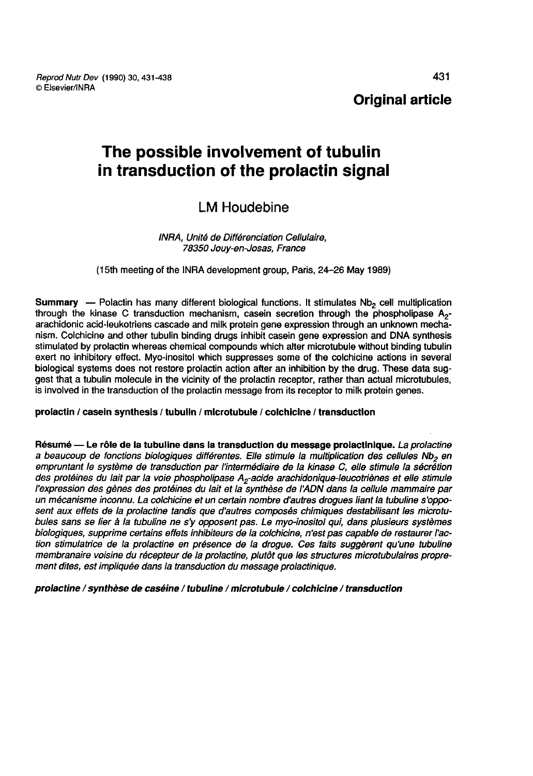Reprod Nutr Dev (1990) 30, 431-438 © Elsevier/INRA

Original article

# The possible involvement of tubulin in transduction of the prolactin signal

## LM Houdebine

#### INRA, Unité de Différenciation Cellulaire, 78350 Jouy-en-Josas, France

(l5th meeting of the INRA development group, Paris, 24-26 May 1989)

**Summary** — Polactin has many different biological functions. It stimulates  $Nb<sub>2</sub>$  cell multiplication through the kinase C transduction mechanism, casein secretion through the phospholipase  $A_{2}$ arachidonic acid-leukotriens cascade and milk protein gene expression through an unknown mechanism. Colchicine and other tubulin binding drugs inhibit casein gene expression and DNA synthesis stimulated by prolactin whereas chemical compounds which alter microtubule without binding tubulin exert no inhibitory effect. Myo-inositol which suppresses some of the colchicine actions in several biological systems does not restore prolactin action after an inhibition by the drug. These data suggest that a tubulin molecule in the vicinity of the prolactin receptor, rather than actual microtubules, is involved in the transduction of the prolactin message from its receptor to milk protein genes.

#### prolactin / casein synthesis / tubulin / microtubule / colchicine / transduction

Résumé — Le rôle de la tubuline dans la transduction du message prolactinique. La prolactine<br>a beaucoup de fonctions biologiques différentes. Elle stimule la multiplication des cellules Nb<sub>2</sub> en empruntant le système de transduction par l'intermédiaire de la kinase C, elle stimule la sécrétion Résumé — Le rôle de la tubuline dans la transduction du message prolactinique. *La prolactine*<br>a beaucoup de fonctions biologiques différentes. Elle stimule la multiplication des cellules Nb<sub>2</sub> en<br>empruntant le système de l'expression des gènes des protéines du lait et la synthèse de I ADN dans la cellule mammaire par un mécanisme inconnu. La colchicine et un certain nombre d'autres drogues liant la tubuline s'opposent aux effets de la prolactine tandis que d'autres composés chimiques destabilisant les microtubules sans se lier à la tubuline ne s'y opposent pas. Le myo-inositol qui, dans plusieurs systèmes biologiques, supprime certains effets inhibiteurs de la colchicine, n'est pas capable de restaurer l'action stimulatrice de la prolactine en présence de la drogue. Ces faits suggèrent qu'une tubuline membranaire voisine du récepteur de la prolactine, plutôt que les structures microtubulaires propre-<br>ment dites, est impliquée dans la transduction du message prolactinique.

prolactine / synthèse de caséine / tubuline / microtubule / colchicine / transduction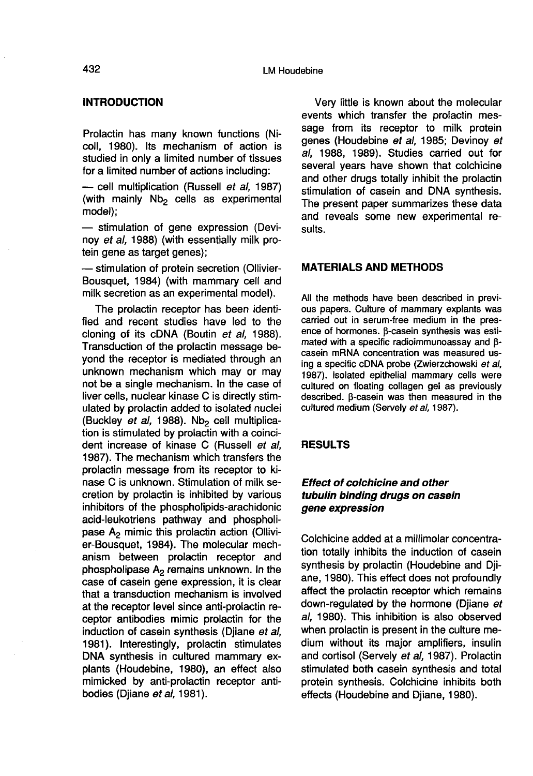#### **INTRODUCTION**

Prolactin has many known functions (Nicoll, 1980). Its mechanism of action is studied in only a limited number of tissues<br>for a limited number of actions including:

- cell multiplication (Russell et al, 1987) (with mainly  $Nb<sub>2</sub>$  cells as experimental model);

 $-$  stimulation of gene expression (Devinoy et al, 1988) (with essentially milk pro-<br>tein gene as target genes);

- stimulation of protein secretion (Ollivier-Bousquet, 1984) (with mammary cell and milk secretion as an experimental model).

The prolactin receptor has been identified and recent studies have led to the cloning of its cDNA (Boutin et al, 1988). Transduction of the prolactin message beyond the receptor is mediated through an unknown mechanism which may or may not be a single mechanism. In the case of liver cells, nuclear kinase C is directly stimulated by prolactin added to isolated nuclei (Buckley et al, 1988). Nb<sub>2</sub> cell multiplication is stimulated by prolactin with a coincident increase of kinase C (Russell et al, 1987). The mechanism which transfers the prolactin message from its receptor to kinase C is unknown. Stimulation of milk secretion by prolactin is inhibited by various inhibitors of the phospholipids-arachidonic acid-leukotriens pathway and phospholipase  $A<sub>2</sub>$  mimic this prolactin action (Ollivier-Bousquet, 1984). The molecular mechanism between prolactin receptor and phospholipase  $A_2$  remains unknown. In the case of casein gene expression, it is clear that a transduction mechanism is involved at the receptor level since anti-prolactin receptor antibodies mimic prolactin for the induction of casein synthesis (Dijane et al, 1981). Interestingly, prolactin stimulates DNA synthesis in cultured mammary explants (Houdebine, 1980), an effect also mimicked by anti-prolactin receptor antibodies (Djiane et al, 1981).

Very little is known about the molecular events which transfer the prolactin message from its receptor to milk protein genes (Houdebine et al, 1985; Devinoy et al, 1988, 1989). Studies carried out for several years have shown that colchicine and other drugs totally inhibit the prolactin stimulation of casein and DNA synthesis. The present paper summarizes these data and reveals some new experimental results.

#### MATERIALS AND METHODS

All the methods have been described in previ ous papers. Culture of mammary explants was carried out in serum-free medium in the pres ence of hormones.  $\beta$ -casein synthesis was estimated with a specific radioimmunoassay and  $\beta$ casein mRNA concentration was measured using a specific cDNA probe (Zwierzchowski et al, 1987). Isolated epithelial mammary cells were cultured on floating collagen gel as previously described. β-casein was then measured in the cultured medium (Servely et al, 1987).

#### RESULTS

## Effect of colchicine and other tubulin binding drugs on casein gene expression

Colchicine added at a millimolar concentration totally inhibits the induction of casein synthesis by prolactin (Houdebine and Djiane, 1980). This effect does not profoundly affect the prolactin receptor which remains down-regulated by the hormone (Djiane et al, 1980). This inhibition is also observed when prolactin is present in the culture medium without its major amplifiers, insulin and cortisol (Servely et al, 1987). Prolactin stimulated both casein synthesis and total protein synthesis. Colchicine inhibits both effects (Houdebine and Djiane, 1980).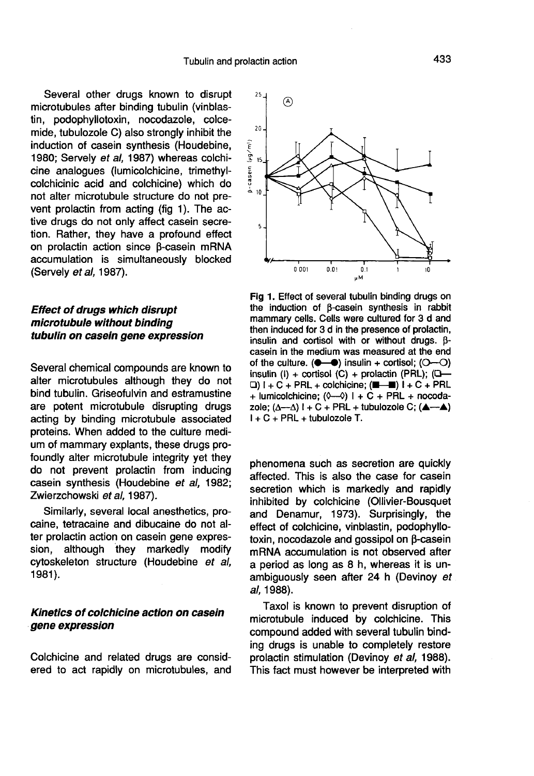Several other drugs known to disrupt microtubules after binding tubulin (vinblastin, podophyllotoxin, nocodazole, colcemide, tubulozole C) also strongly inhibit the induction of casein synthesis (Houdebine, 1980; Servely et al, 1987) whereas colchicine analogues (lumicolchicine, trimethylcolchicinic acid and colchicine) which do not alter microtubule structure do not prevent prolactin from acting (fig 1). The active drugs do not only affect casein secretion. Rather, they have a profound effect on prolactin action since  $\beta$ -casein mRNA accumulation is simultaneously blocked (Servely et al, 1987).

## Effect of drugs which disrupt microtubule without binding tubulin on casein gene expression

Several chemical compounds are known to alter microtubules although they do not bind tubulin. Griseofulvin and estramustine are potent microtubule disrupting drugs acting by binding microtubule associated proteins. When added to the culture medium of mammary explants, these drugs profoundly alter microtubule integrity yet they do not prevent prolactin from inducing casein synthesis (Houdebine et al, 1982; Zwierzchowski et al, 1987).

Similarly, several local anesthetics, procaine, tetracaine and dibucaine do not alter prolactin action on casein gene expression, although they markedly modify cytoskeleton structure (Houdebine et al, 1981).

## Kinetics of colchicine action on casein gene expression

Colchicine and related drugs are considered to act rapidly on microtubules, and



Fig 1. Effect of several tubulin binding drugs on the induction of B-casein synthesis in rabbit mammary cells. Cells were cultured for 3 d and then induced for 3 d in the presence of prolactin, insulin and cortisol with or without drugs. Bcasein in the medium was measured at the end insulin (I) + cortisol (C) + prolactin (PRL);  $(\square$ - $\Box$ )  $I + C + PRL +$  colchicine; ( $\Box - \Box$ )  $I + C + PRL$ + lumicolchicine:  $(0 - 0)$  | + C + PRL + nocodazole;  $(\Delta \rightarrow \Delta)$   $1 + C + PRL +$  tubulozole C;  $(\Delta \rightarrow \Delta)$ I + C + PRL + tubulozole T.

phenomena such as secretion are quickly affected. This is also the case for casein secretion which is markedly and rapidly inhibited by colchicine (Ollivier-Bousquet and Denamur, 1973). Surprisingly, the effect of colchicine, vinblastin, podophyllotoxin, nocodazole and gossipol on  $\beta$ -casein mRNA accumulation is not observed after a period as long as 8 h, whereas it is unambiguously seen after 24 h (Devinoy et al, 1988).

Taxol is known to prevent disruption of microtubule induced by colchicine. This compound added with several tubulin binding drugs is unable to completely restore prolactin stimulation (Devinoy et al, 1988). This fact must however be interpreted with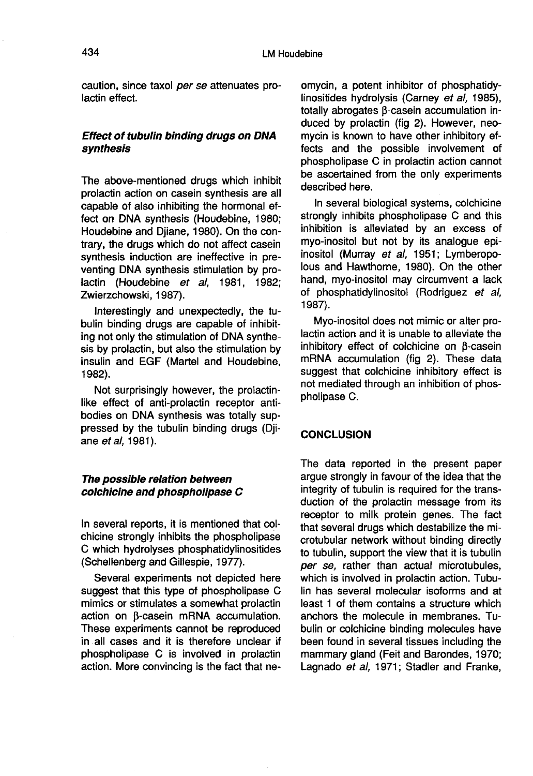caution, since taxol per se attenuates prolactin effect.

## Effect of tubulin binding drugs on DNA synthesis

The above-mentioned drugs which inhibit prolactin action on casein synthesis are all capable of also inhibiting the hormonal effect on DNA synthesis (Houdebine, 1980; Houdebine and Djiane, 1980). On the contrary, the drugs which do not affect casein synthesis induction are ineffective in preventing DNA synthesis stimulation by prolactin (Houdebine et al. 1981, 1982; Zwierzchowski, 1987).

Interestingly and unexpectedly, the tubulin binding drugs are capable of inhibiting not only the stimulation of DNA synthesis by prolactin, but also the stimulation by insulin and EGF (Martel and Houdebine, 1982).

Not surprisingly however, the prolactinlike effect of anti-prolactin receptor antibodies on DNA synthesis was totally suppressed by the tubulin binding drugs (Dji ane *et al.* 1981).

## The possible relation between colchicine and phospholipase C

In several reports, it is mentioned that colchicine strongly inhibits the phospholipase C which hydrolyses phosphatidylinositides (Schellenberg and Gillespie, 1977).

Several experiments not depicted here suggest that this type of phospholipase C mimics or stimulates a somewhat prolactin  $action$  on  $\beta$ -casein mRNA accumulation. These experiments cannot be reproduced in all cases and it is therefore unclear if phospholipase C is involved in prolactin action. More convincing is the fact that neomycin, a potent inhibitor of phosphatidylinositides hydrolysis (Carney ef al, 1985), totally abrogates  $\beta$ -casein accumulation induced by prolactin (fig 2). However, neomycin is known to have other inhibitory effects and the possible involvement of phospholipase C in prolactin action cannot be ascertained from the only experiments described here.

In several biological systems, colchicine strongly inhibits phospholipase C and this inhibition is alleviated by an excess of myo-inositol but not by its analogue epiinositol (Murray et al, 1951; Lymberopolous and Hawthorne, 1980). On the other hand, myo-inositol may circumvent a lack of phosphatidylinositol (Rodriguez et al, 1987).

Myo-inositol does not mimic or alter prolactin action and it is unable to alleviate the inhibitory effect of colchicine on B-casein mRNA accumulation (fig 2). These data suggest that colchicine inhibitory effect is not mediated through an inhibition of phospholipase C.

## **CONCLUSION**

The data reported in the present paper argue strongly in favour of the idea that the integrity of tubulin is required for the transduction of the prolactin message from its receptor to milk protein genes. The fact that several drugs which destabilize the microtubular network without binding directly to tubulin, support the view that it is tubulin per se, rather than actual microtubules, which is involved in prolactin action. Tubulin has several molecular isoforms and at least 1 of them contains a structure which anchors the molecule in membranes. Tubulin or colchicine binding molecules have been found in several tissues including the mammary gland (Feit and Barondes, 1970; Lagnado et al, 1971; Stadler and Franke,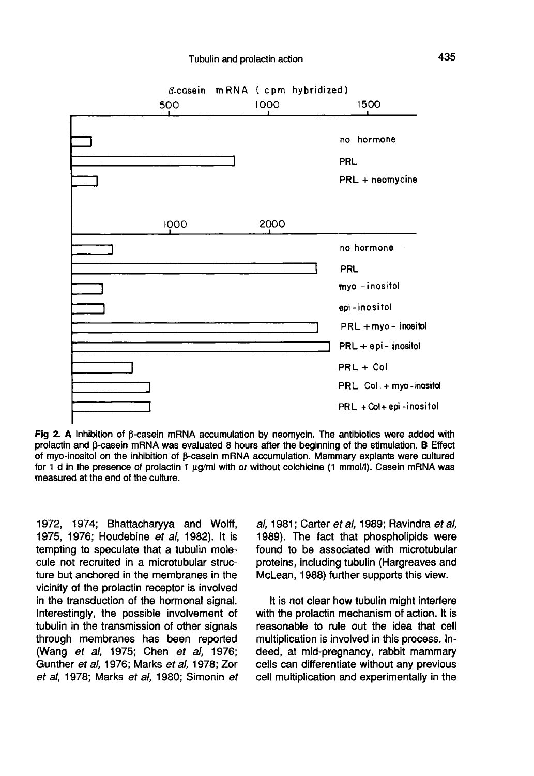

Fig 2. A Inhibition of  $\beta$ -casein mRNA accumulation by neomycin. The antibiotics were added with prolactin and B-casein mRNA was evaluated 8 hours after the beginning of the stimulation. B Effect of myo-inositol on the inhibition of B-casein mRNA accumulation. Mammary explants were cultured for 1 d in the presence of prolactin 1 µq/ml with or without colchicine (1 mmol/l). Casein mRNA was measured at the end of the culture.

1972, 1974; Bhattacharyya and Wolff, 1975, 1976; Houdebine et al, 1982). It is tempting to speculate that a tubulin molecule not recruited in a microtubular structure but anchored in the membranes in the vicinity of the prolactin receptor is involved in the transduction of the hormonal signal. Interestingly, the possible involvement of tubulin in the transmission of other signals through membranes has been reported (Wang et al, 1975; Chen et al, 1976; Gunther et al, 1976; Marks et al, 1978; Zor et al, 1978; Marks et al, 1980; Simonin et

al, 1981; Carter et al, 1989; Ravindra et al, 1989). The fact that phospholipids were found to be associated with microtubular proteins, including tubulin (Hargreaves and McLean, 1988) further supports this view.

It is not clear how tubulin might interfere with the prolactin mechanism of action. It is reasonable to rule out the idea that cell multiplication is involved in this process. Indeed, at mid-pregnancy, rabbit mammary cells can differentiate without any previous cell multiplication and experimentally in the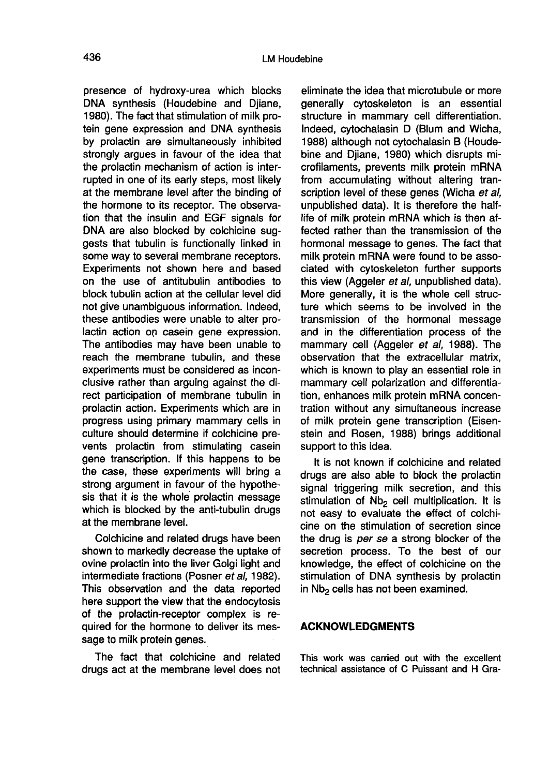presence of hydroxy-urea which blocks DNA synthesis (Houdebine and Djiane, 1980). The fact that stimulation of milk protein gene expression and DNA synthesis by prolactin are simultaneously inhibited strongly argues in favour of the idea that the prolactin mechanism of action is interrupted in one of its early steps, most likely at the membrane level after the binding of the hormone to its receptor. The observation that the insulin and EGF signals for DNA are also blocked by colchicine suggests that tubulin is functionally linked in some way to several membrane receptors. Experiments not shown here and based on the use of antitubulin antibodies to block tubulin action at the cellular level did not give unambiguous information. Indeed, these antibodies were unable to alter prolactin action on casein gene expression. The antibodies may have been unable to reach the membrane tubulin, and these experiments must be considered as inconclusive rather than arguing against the direct participation of membrane tubulin in prolactin action. Experiments which are in progress using primary mammary cells in culture should determine if colchicine prevents prolactin from stimulating casein gene transcription. If this happens to be the case, these experiments will bring a strong argument in favour of the hypothesis that it is the whole prolactin message which is blocked by the anti-tubulin drugs at the membrane level.

Colchicine and related drugs have been shown to markedly decrease the uptake of ovine prolactin into the liver Golgi light and intermediate fractions (Posner et al, 1982). This observation and the data reported here support the view that the endocytosis of the prolactin-receptor complex is required for the hormone to deliver its message to milk protein genes.

The fact that colchicine and related drugs act at the membrane level does not

eliminate the idea that microtubule or more generally cytoskeleton is an essential structure in mammary cell differentiation. Indeed, cytochalasin D (Blum and Wicha, 1988) although not cytochalasin B (Houdebine and Djiane, 1980) which disrupts microfilaments, prevents milk protein mRNA from accumulating without altering transcription level of these genes (Wicha et al, unpublished data). It is therefore the halflife of milk protein mRNA which is then affected rather than the transmission of the hormonal message to genes. The fact that milk protein mRNA were found to be associated with cytoskeleton further supports this view (Aggeler et al, unpublished data). More generally, it is the whole cell structure which seems to be involved in the transmission of the hormonal message and in the differentiation process of the mammary cell (Aggeler et al, 1988). The observation that the extracellular matrix, which is known to play an essential role in mammary cell polarization and differentiation, enhances milk protein mRNA concentration without any simultaneous increase of milk protein gene transcription (Eisenstein and Rosen, 1988) brings additional support to this idea.

It is not known if colchicine and related drugs are also able to block the prolactin signal triggering milk secretion, and this stimulation of Nb<sub>2</sub> cell multiplication. It is not easy to evaluate the effect of colchicine on the stimulation of secretion since the drug is per se a strong blocker of the secretion process. To the best of our knowledge, the effect of colchicine on the stimulation of DNA synthesis by prolactin in Nb<sub>2</sub> cells has not been examined.

### ACKNOWLEDGMENTS

This work was carried out with the excellent technical assistance of C Puissant and H Gra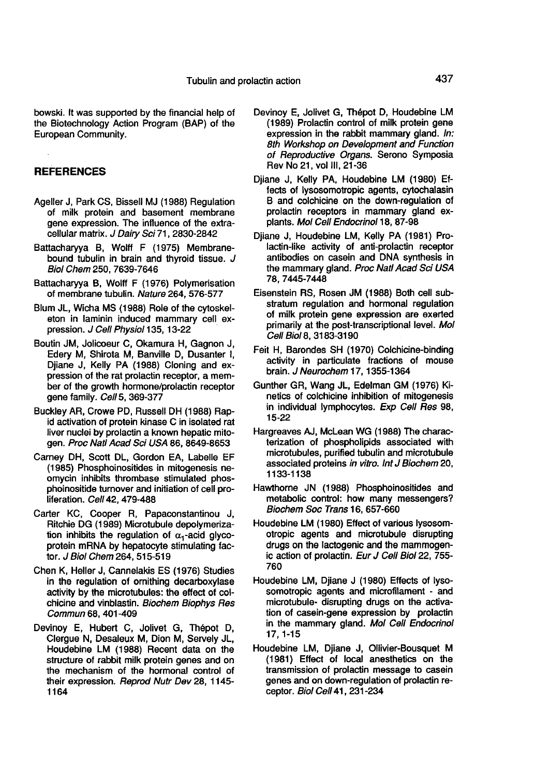bowski. It was supported by the financial help of the Biotechnology Action Program (BAP) of the European Community.

#### REFERENCES

- Ageller J, Park CS, Bissell MJ (1988) Regulation of milk protein and basement membrane gene expression. The influence of the extracellular matrix. J Dairy Sci 71, 2830-2842
- Battacharyya B, Wolff F (1975) Membranebound tubulin in brain and thyroid tissue. J Biol Chem 250, 7639-7646
- Battacharyya B, Wolff F (1976) Polymerisation of membrane tubulin. Nature 264, 576-577
- Blum JL, Wicha MS (1988) Role of the cytoskel eton in laminin induced mammary cell expression. J Cell Physiol 135, 13-22
- Boutin JM, Jolicoeur C, Okamura H, Gagnon J, Edery M, Shirota M, Banville D, Dusanter I, Djiane J, Kelly PA (1988) Cloning and expression of the rat prolactin receptor, a member of the growth hormone/prolactin receptor gene family. Cell 5, 369-377
- Buckley AR, Crowe PD, Russell DH (1988) Rapid activation of protein kinase C in isolated rat liver nuclei by prolactin a known hepatic mitogen. Proc Natl Acad Sci USA 86, 8649-8653
- Carney DH, Scott DL, Gordon EA, Labelle EF (1985) Phosphoinositides in mitogenesis neomycin inhibits thrombase stimulated phosphoinositide turnover and initiation of cell proliferation. Cell 42, 479-488
- Carter KC, Cooper R, Papaconstantinou J, Ritchie DG (1989) Microtubule depolymerization inhibits the regulation of  $\alpha_1$ -acid glycoprotein mRNA by hepatocyte stimulating factor. J Biol Chem 264, 515-519
- Chen K, Heller J, Cannelakis ES (1976) Studies in the regulation of ornithing decarboxylase activity by the microtubules: the effect of colchicine and vinblastin. Biochem Biophys Res Commun 68, 401-409
- Devinoy E, Hubert C, Jolivet G, Thépot D, Clergue N, Desaleux M, Dion M, Servely JL, Houdebine LM (1988) Recent data on the structure of rabbit milk protein genes and on the mechanism of the hormonal control of their expression. Reprod Nutr Dev 28, 1145- 1164
- Devinoy E, Jolivet G, Thépot D, Houdebine LM (1989) Prolactin control of milk protein gene expression in the rabbit mammary gland. In: 8th Workshop on Development and Function of Reproductive Organs. Serono Symposia Rev No 21, vol III, 21-36
- Djiane J, Kelly PA, Houdebine LM (1980) Effects of lysosomotropic agents, cytochalasin B and colchicine on the down-regulation of prolactin receptors in mammary gland explants. Mol Cell Endocrinol 18, 87-98
- Djiane J, Houdebine LM, Kelly PA (1981) Prolactin-like activity of anti-prolactin receptor antibodies on casein and DNA synthesis in the mammary gland. Proc Natl Acad Sci USA 78,7445-7448
- Eisenstein RS, Rosen JM (1988) Both cell substratum regulation and hormonal regulation of milk protein gene expression are exerted primarily at the post-transcriptional level. Mol Cell Biol 8, 3183-3190
- Feit H, Barondes SH (1970) Coichicine-binding activity in particulate fractions of mouse brain. J Neurochem 17, 1355-1364
- Gunther GR, Wang JL, Edelman GM (1976) Kinetics of colchicine inhibition of mitogenesis in individual lymphocytes. Exp Cell Res 98, 15-22
- Hargreaves AJ, McLean WG (1988) The characterization of phospholipids associated with microtubules, purified tubulin and microtubule associated proteins in vitro. Int J Biochem 20, 1133-1138
- Hawthorne JN (1988) Phosphoinositides and metabolic control: how many messengers? Biochem Soc Trans 16, 657-660
- Houdebine LM (1980) Effect of various lysosomotropic agents and microtubule disrupting drugs on the lactogenic and the mammogenic action of prolactin. Eur J Cell Biol 22, 755- 760
- Houdebine LM, Djiane J (1980) Effects of lysosomotropic agents and microfilament - and microtubule- disrupting drugs on the activation of casein-gene expression by prolactin in the mammary gland. Mol Cell Endocrinol 17, 1-15
- Houdebine LM, Djiane J, Ollivier-Bousquet M (1981) Effect of local anesthetics on the transmission of prolactin message to casein genes and on down-regulation of prolactin receptor. Biol Cell 41, 231-234